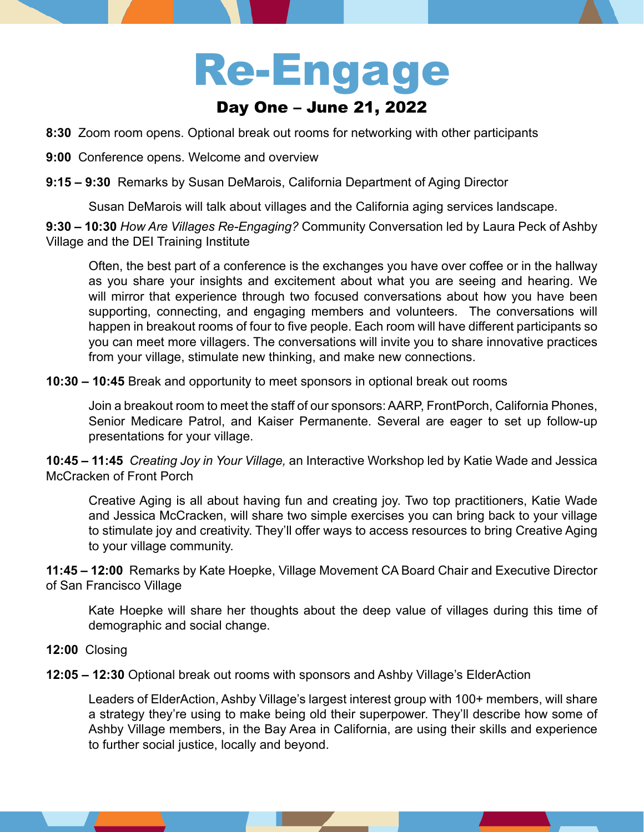# Re-Engage Day One – June 21, 2022

- **8:30** Zoom room opens. Optional break out rooms for networking with other participants
- **9:00** Conference opens. Welcome and overview
- **9:15 9:30** Remarks by Susan DeMarois, California Department of Aging Director

Susan DeMarois will talk about villages and the California aging services landscape.

**9:30 – 10:30** *How Are Villages Re-Engaging?* Community Conversation led by Laura Peck of Ashby Village and the DEI Training Institute

Often, the best part of a conference is the exchanges you have over coffee or in the hallway as you share your insights and excitement about what you are seeing and hearing. We will mirror that experience through two focused conversations about how you have been supporting, connecting, and engaging members and volunteers. The conversations will happen in breakout rooms of four to five people. Each room will have different participants so you can meet more villagers. The conversations will invite you to share innovative practices from your village, stimulate new thinking, and make new connections.

**10:30 – 10:45** Break and opportunity to meet sponsors in optional break out rooms

Join a breakout room to meet the staff of our sponsors: AARP, FrontPorch, California Phones, Senior Medicare Patrol, and Kaiser Permanente. Several are eager to set up follow-up presentations for your village.

**10:45 – 11:45** *Creating Joy in Your Village,* an Interactive Workshop led by Katie Wade and Jessica McCracken of Front Porch

Creative Aging is all about having fun and creating joy. Two top practitioners, Katie Wade and Jessica McCracken, will share two simple exercises you can bring back to your village to stimulate joy and creativity. They'll offer ways to access resources to bring Creative Aging to your village community.

**11:45 – 12:00** Remarks by Kate Hoepke, Village Movement CA Board Chair and Executive Director of San Francisco Village

Kate Hoepke will share her thoughts about the deep value of villages during this time of demographic and social change.

# **12:00** Closing

**12:05 – 12:30** Optional break out rooms with sponsors and Ashby Village's ElderAction

Leaders of ElderAction, Ashby Village's largest interest group with 100+ members, will share a strategy they're using to make being old their superpower. They'll describe how some of Ashby Village members, in the Bay Area in California, are using their skills and experience to further social justice, locally and beyond.